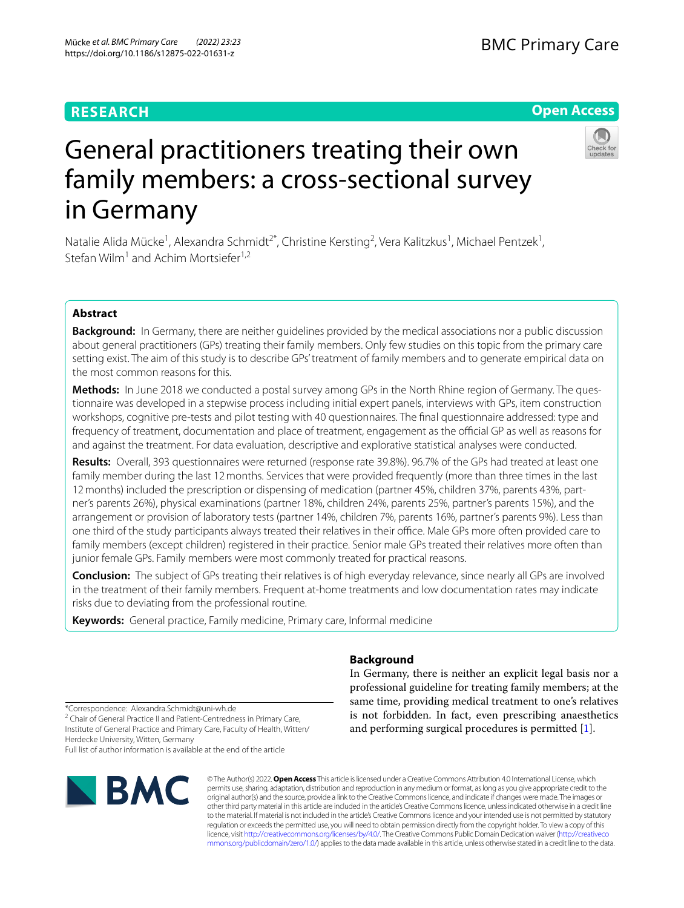# **RESEARCH**

# **Open Access**



# General practitioners treating their own family members: a cross-sectional survey in Germany

Natalie Alida Mücke<sup>1</sup>, Alexandra Schmidt<sup>2\*</sup>, Christine Kersting<sup>2</sup>, Vera Kalitzkus<sup>1</sup>, Michael Pentzek<sup>1</sup>, Stefan Wilm<sup>1</sup> and Achim Mortsiefer<sup>1,2</sup>

# **Abstract**

**Background:** In Germany, there are neither guidelines provided by the medical associations nor a public discussion about general practitioners (GPs) treating their family members. Only few studies on this topic from the primary care setting exist. The aim of this study is to describe GPs' treatment of family members and to generate empirical data on the most common reasons for this.

**Methods:** In June 2018 we conducted a postal survey among GPs in the North Rhine region of Germany. The questionnaire was developed in a stepwise process including initial expert panels, interviews with GPs, item construction workshops, cognitive pre-tests and pilot testing with 40 questionnaires. The fnal questionnaire addressed: type and frequency of treatment, documentation and place of treatment, engagement as the official GP as well as reasons for and against the treatment. For data evaluation, descriptive and explorative statistical analyses were conducted.

**Results:** Overall, 393 questionnaires were returned (response rate 39.8%). 96.7% of the GPs had treated at least one family member during the last 12 months. Services that were provided frequently (more than three times in the last 12months) included the prescription or dispensing of medication (partner 45%, children 37%, parents 43%, partner's parents 26%), physical examinations (partner 18%, children 24%, parents 25%, partner's parents 15%), and the arrangement or provision of laboratory tests (partner 14%, children 7%, parents 16%, partner's parents 9%). Less than one third of the study participants always treated their relatives in their office. Male GPs more often provided care to family members (except children) registered in their practice. Senior male GPs treated their relatives more often than junior female GPs. Family members were most commonly treated for practical reasons.

**Conclusion:** The subject of GPs treating their relatives is of high everyday relevance, since nearly all GPs are involved in the treatment of their family members. Frequent at-home treatments and low documentation rates may indicate risks due to deviating from the professional routine.

**Keywords:** General practice, Family medicine, Primary care, Informal medicine

# **Background**

In Germany, there is neither an explicit legal basis nor a professional guideline for treating family members; at the same time, providing medical treatment to one's relatives is not forbidden. In fact, even prescribing anaesthetics and performing surgical procedures is permitted [\[1](#page-9-0)].

<sup>2</sup> Chair of General Practice II and Patient-Centredness in Primary Care, Institute of General Practice and Primary Care, Faculty of Health, Witten/ Herdecke University, Witten, Germany

Full list of author information is available at the end of the article



© The Author(s) 2022. **Open Access** This article is licensed under a Creative Commons Attribution 4.0 International License, which permits use, sharing, adaptation, distribution and reproduction in any medium or format, as long as you give appropriate credit to the original author(s) and the source, provide a link to the Creative Commons licence, and indicate if changes were made. The images or other third party material in this article are included in the article's Creative Commons licence, unless indicated otherwise in a credit line to the material. If material is not included in the article's Creative Commons licence and your intended use is not permitted by statutory regulation or exceeds the permitted use, you will need to obtain permission directly from the copyright holder. To view a copy of this licence, visit [http://creativecommons.org/licenses/by/4.0/.](http://creativecommons.org/licenses/by/4.0/) The Creative Commons Public Domain Dedication waiver ([http://creativeco](http://creativecommons.org/publicdomain/zero/1.0/) [mmons.org/publicdomain/zero/1.0/](http://creativecommons.org/publicdomain/zero/1.0/)) applies to the data made available in this article, unless otherwise stated in a credit line to the data.

<sup>\*</sup>Correspondence: Alexandra.Schmidt@uni-wh.de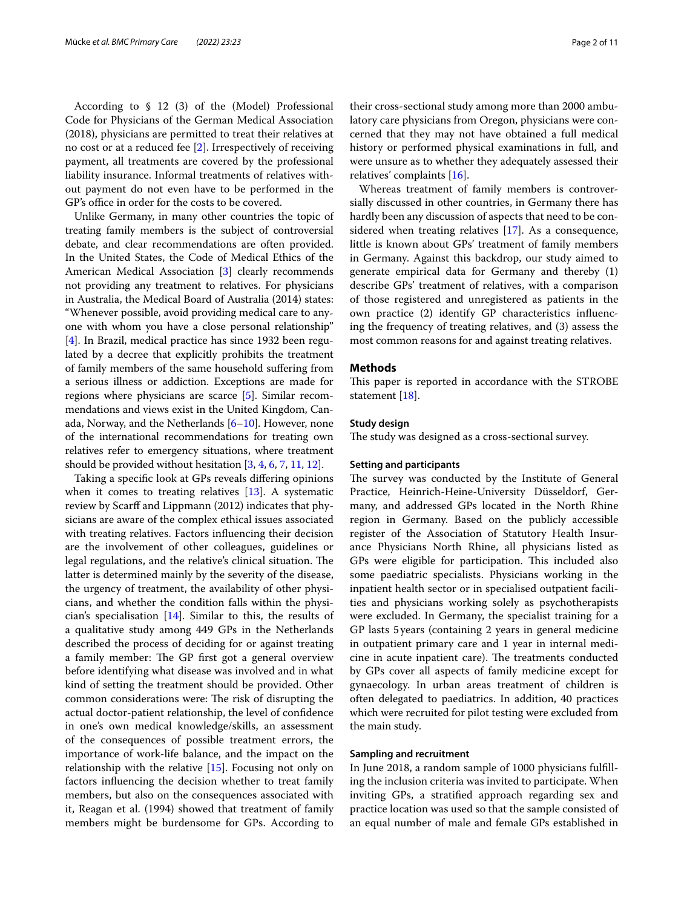According to § 12 (3) of the (Model) Professional Code for Physicians of the German Medical Association (2018), physicians are permitted to treat their relatives at no cost or at a reduced fee [[2](#page-9-1)]. Irrespectively of receiving payment, all treatments are covered by the professional liability insurance. Informal treatments of relatives without payment do not even have to be performed in the GP's office in order for the costs to be covered.

Unlike Germany, in many other countries the topic of treating family members is the subject of controversial debate, and clear recommendations are often provided. In the United States, the Code of Medical Ethics of the American Medical Association [\[3\]](#page-9-2) clearly recommends not providing any treatment to relatives. For physicians in Australia, the Medical Board of Australia (2014) states: "Whenever possible, avoid providing medical care to anyone with whom you have a close personal relationship" [[4\]](#page-9-3). In Brazil, medical practice has since 1932 been regulated by a decree that explicitly prohibits the treatment of family members of the same household sufering from a serious illness or addiction. Exceptions are made for regions where physicians are scarce [[5\]](#page-9-4). Similar recommendations and views exist in the United Kingdom, Canada, Norway, and the Netherlands  $[6–10]$  $[6–10]$ . However, none of the international recommendations for treating own relatives refer to emergency situations, where treatment should be provided without hesitation  $[3, 4, 6, 7, 11, 12]$  $[3, 4, 6, 7, 11, 12]$  $[3, 4, 6, 7, 11, 12]$  $[3, 4, 6, 7, 11, 12]$  $[3, 4, 6, 7, 11, 12]$  $[3, 4, 6, 7, 11, 12]$  $[3, 4, 6, 7, 11, 12]$  $[3, 4, 6, 7, 11, 12]$ .

Taking a specifc look at GPs reveals difering opinions when it comes to treating relatives [\[13](#page-10-0)]. A systematic review by Scarff and Lippmann (2012) indicates that physicians are aware of the complex ethical issues associated with treating relatives. Factors infuencing their decision are the involvement of other colleagues, guidelines or legal regulations, and the relative's clinical situation. The latter is determined mainly by the severity of the disease, the urgency of treatment, the availability of other physicians, and whether the condition falls within the physician's specialisation [[14\]](#page-10-1). Similar to this, the results of a qualitative study among 449 GPs in the Netherlands described the process of deciding for or against treating a family member: The GP first got a general overview before identifying what disease was involved and in what kind of setting the treatment should be provided. Other common considerations were: The risk of disrupting the actual doctor-patient relationship, the level of confdence in one's own medical knowledge/skills, an assessment of the consequences of possible treatment errors, the importance of work-life balance, and the impact on the relationship with the relative [\[15\]](#page-10-2). Focusing not only on factors infuencing the decision whether to treat family members, but also on the consequences associated with it, Reagan et al. (1994) showed that treatment of family members might be burdensome for GPs. According to

their cross-sectional study among more than 2000 ambulatory care physicians from Oregon, physicians were concerned that they may not have obtained a full medical history or performed physical examinations in full, and were unsure as to whether they adequately assessed their relatives' complaints [[16](#page-10-3)].

Whereas treatment of family members is controversially discussed in other countries, in Germany there has hardly been any discussion of aspects that need to be considered when treating relatives [\[17](#page-10-4)]. As a consequence, little is known about GPs' treatment of family members in Germany. Against this backdrop, our study aimed to generate empirical data for Germany and thereby (1) describe GPs' treatment of relatives, with a comparison of those registered and unregistered as patients in the own practice (2) identify GP characteristics infuencing the frequency of treating relatives, and (3) assess the most common reasons for and against treating relatives.

#### **Methods**

This paper is reported in accordance with the STROBE statement [[18](#page-10-5)].

#### **Study design**

The study was designed as a cross-sectional survey.

#### **Setting and participants**

The survey was conducted by the Institute of General Practice, Heinrich-Heine-University Düsseldorf, Germany, and addressed GPs located in the North Rhine region in Germany. Based on the publicly accessible register of the Association of Statutory Health Insurance Physicians North Rhine, all physicians listed as GPs were eligible for participation. This included also some paediatric specialists. Physicians working in the inpatient health sector or in specialised outpatient facilities and physicians working solely as psychotherapists were excluded. In Germany, the specialist training for a GP lasts 5years (containing 2 years in general medicine in outpatient primary care and 1 year in internal medicine in acute inpatient care). The treatments conducted by GPs cover all aspects of family medicine except for gynaecology. In urban areas treatment of children is often delegated to paediatrics. In addition, 40 practices which were recruited for pilot testing were excluded from the main study.

#### **Sampling and recruitment**

In June 2018, a random sample of 1000 physicians fulflling the inclusion criteria was invited to participate. When inviting GPs, a stratifed approach regarding sex and practice location was used so that the sample consisted of an equal number of male and female GPs established in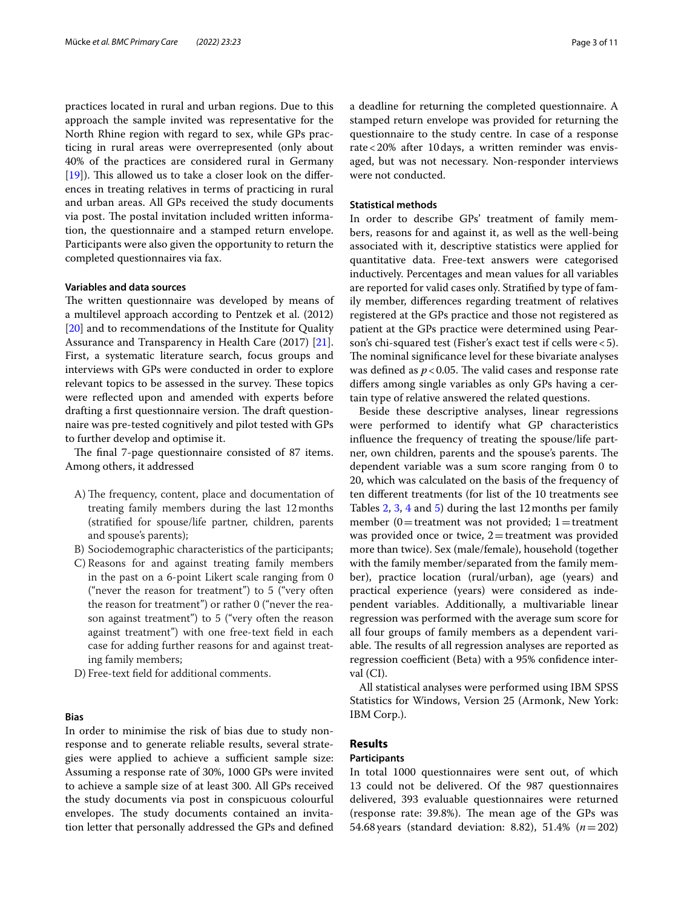practices located in rural and urban regions. Due to this approach the sample invited was representative for the North Rhine region with regard to sex, while GPs practicing in rural areas were overrepresented (only about 40% of the practices are considered rural in Germany  $[19]$  $[19]$ ). This allowed us to take a closer look on the differences in treating relatives in terms of practicing in rural and urban areas. All GPs received the study documents via post. The postal invitation included written information, the questionnaire and a stamped return envelope. Participants were also given the opportunity to return the completed questionnaires via fax.

## **Variables and data sources**

The written questionnaire was developed by means of a multilevel approach according to Pentzek et al. (2012) [[20\]](#page-10-7) and to recommendations of the Institute for Quality Assurance and Transparency in Health Care (2017) [\[21](#page-10-8)]. First, a systematic literature search, focus groups and interviews with GPs were conducted in order to explore relevant topics to be assessed in the survey. These topics were reflected upon and amended with experts before drafting a first questionnaire version. The draft questionnaire was pre-tested cognitively and pilot tested with GPs to further develop and optimise it.

The final 7-page questionnaire consisted of 87 items. Among others, it addressed

- A) The frequency, content, place and documentation of treating family members during the last 12months (stratifed for spouse/life partner, children, parents and spouse's parents);
- B) Sociodemographic characteristics of the participants;
- C) Reasons for and against treating family members in the past on a 6-point Likert scale ranging from 0 ("never the reason for treatment") to 5 ("very often the reason for treatment") or rather 0 ("never the reason against treatment") to 5 ("very often the reason against treatment") with one free-text feld in each case for adding further reasons for and against treating family members;
- D) Free-text feld for additional comments.

#### **Bias**

In order to minimise the risk of bias due to study nonresponse and to generate reliable results, several strategies were applied to achieve a sufficient sample size: Assuming a response rate of 30%, 1000 GPs were invited to achieve a sample size of at least 300. All GPs received the study documents via post in conspicuous colourful envelopes. The study documents contained an invitation letter that personally addressed the GPs and defned a deadline for returning the completed questionnaire. A stamped return envelope was provided for returning the questionnaire to the study centre. In case of a response rate<20% after 10days, a written reminder was envisaged, but was not necessary. Non-responder interviews were not conducted.

## **Statistical methods**

In order to describe GPs' treatment of family members, reasons for and against it, as well as the well-being associated with it, descriptive statistics were applied for quantitative data. Free-text answers were categorised inductively. Percentages and mean values for all variables are reported for valid cases only. Stratifed by type of family member, diferences regarding treatment of relatives registered at the GPs practice and those not registered as patient at the GPs practice were determined using Pearson's chi-squared test (Fisher's exact test if cells were<5). The nominal significance level for these bivariate analyses was defined as  $p < 0.05$ . The valid cases and response rate difers among single variables as only GPs having a certain type of relative answered the related questions.

Beside these descriptive analyses, linear regressions were performed to identify what GP characteristics infuence the frequency of treating the spouse/life partner, own children, parents and the spouse's parents. The dependent variable was a sum score ranging from 0 to 20, which was calculated on the basis of the frequency of ten diferent treatments (for list of the 10 treatments see Tables [2](#page-4-0), [3](#page-5-0), [4](#page-6-0) and [5\)](#page-7-0) during the last 12months per family member (0=treatment was not provided; 1=treatment was provided once or twice,  $2$ =treatment was provided more than twice). Sex (male/female), household (together with the family member/separated from the family member), practice location (rural/urban), age (years) and practical experience (years) were considered as independent variables. Additionally, a multivariable linear regression was performed with the average sum score for all four groups of family members as a dependent variable. The results of all regression analyses are reported as regression coefficient (Beta) with a 95% confidence interval (CI).

All statistical analyses were performed using IBM SPSS Statistics for Windows, Version 25 (Armonk, New York: IBM Corp.).

## **Results**

## **Participants**

In total 1000 questionnaires were sent out, of which 13 could not be delivered. Of the 987 questionnaires delivered, 393 evaluable questionnaires were returned (response rate: 39.8%). The mean age of the GPs was 54.68 years (standard deviation: 8.82), 51.4% (*n*=202)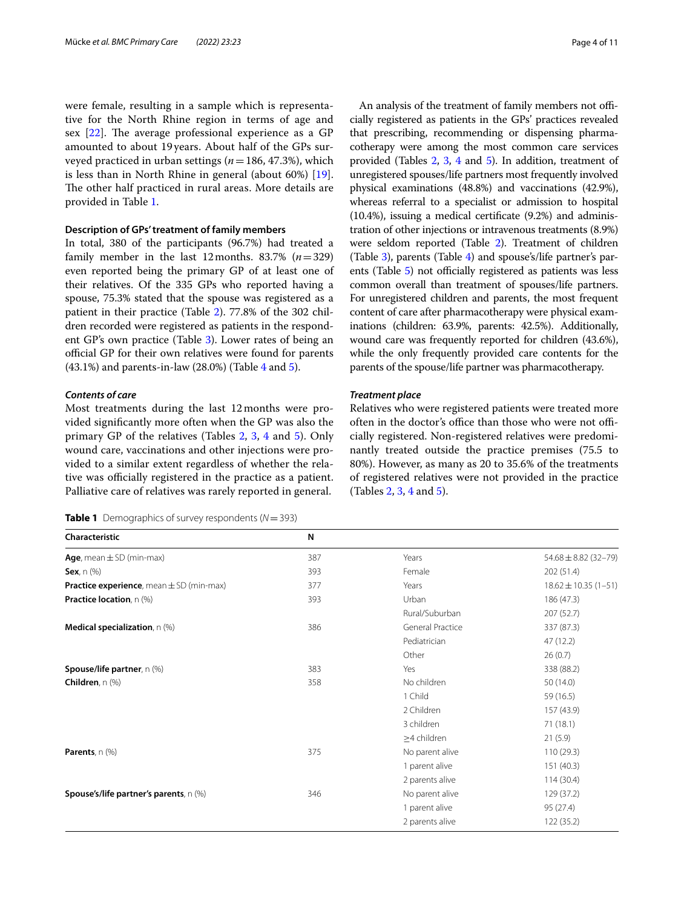were female, resulting in a sample which is representative for the North Rhine region in terms of age and sex  $[22]$  $[22]$ . The average professional experience as a GP amounted to about 19 years. About half of the GPs surveyed practiced in urban settings (*n*=186, 47.3%), which is less than in North Rhine in general (about 60%) [\[19](#page-10-6)]. The other half practiced in rural areas. More details are provided in Table [1](#page-3-0).

### **Description of GPs' treatment of family members**

In total, 380 of the participants (96.7%) had treated a family member in the last 12months. 83.7%  $(n=329)$ even reported being the primary GP of at least one of their relatives. Of the 335 GPs who reported having a spouse, 75.3% stated that the spouse was registered as a patient in their practice (Table [2](#page-4-0)). 77.8% of the 302 children recorded were registered as patients in the respondent GP's own practice (Table [3\)](#page-5-0). Lower rates of being an official GP for their own relatives were found for parents  $(43.1\%)$  and parents-in-law  $(28.0\%)$  (Table [4](#page-6-0) and [5](#page-7-0)).

## *Contents of care*

Most treatments during the last 12months were provided signifcantly more often when the GP was also the primary GP of the relatives (Tables [2](#page-4-0), [3,](#page-5-0) [4](#page-6-0) and [5](#page-7-0)). Only wound care, vaccinations and other injections were provided to a similar extent regardless of whether the relative was officially registered in the practice as a patient. Palliative care of relatives was rarely reported in general.

<span id="page-3-0"></span>

|  |  |  | <b>Table 1</b> Demographics of survey respondents ( $N = 393$ ) |  |
|--|--|--|-----------------------------------------------------------------|--|
|--|--|--|-----------------------------------------------------------------|--|

An analysis of the treatment of family members not officially registered as patients in the GPs' practices revealed that prescribing, recommending or dispensing pharmacotherapy were among the most common care services provided (Tables [2,](#page-4-0) [3](#page-5-0), [4](#page-6-0) and [5](#page-7-0)). In addition, treatment of unregistered spouses/life partners most frequently involved physical examinations (48.8%) and vaccinations (42.9%), whereas referral to a specialist or admission to hospital (10.4%), issuing a medical certifcate (9.2%) and administration of other injections or intravenous treatments (8.9%) were seldom reported (Table [2](#page-4-0)). Treatment of children (Table [3](#page-5-0)), parents (Table [4](#page-6-0)) and spouse's/life partner's parents (Table  $5$ ) not officially registered as patients was less common overall than treatment of spouses/life partners. For unregistered children and parents, the most frequent content of care after pharmacotherapy were physical examinations (children: 63.9%, parents: 42.5%). Additionally, wound care was frequently reported for children (43.6%), while the only frequently provided care contents for the parents of the spouse/life partner was pharmacotherapy.

#### *Treatment place*

Relatives who were registered patients were treated more often in the doctor's office than those who were not officially registered. Non-registered relatives were predominantly treated outside the practice premises (75.5 to 80%). However, as many as 20 to 35.6% of the treatments of registered relatives were not provided in the practice (Tables [2](#page-4-0), [3,](#page-5-0) [4](#page-6-0) and [5](#page-7-0)).

| Characteristic                                       | N   |                         |                           |
|------------------------------------------------------|-----|-------------------------|---------------------------|
| Age, mean $\pm$ SD (min-max)                         | 387 | Years                   | $54.68 \pm 8.82(32 - 79)$ |
| Sex, $n$ $(\%)$                                      | 393 | Female                  | 202 (51.4)                |
| <b>Practice experience</b> , mean $\pm$ SD (min-max) | 377 | Years                   | $18.62 \pm 10.35(1 - 51)$ |
| <b>Practice location</b> , n (%)                     | 393 | Urban                   | 186 (47.3)                |
|                                                      |     | Rural/Suburban          | 207 (52.7)                |
| <b>Medical specialization</b> , $n$ (%)              | 386 | <b>General Practice</b> | 337 (87.3)                |
|                                                      |     | Pediatrician            | 47 (12.2)                 |
|                                                      |     | Other                   | 26(0.7)                   |
| Spouse/life partner, n (%)                           | 383 | Yes                     | 338 (88.2)                |
| Children, n (%)                                      | 358 | No children             | 50 (14.0)                 |
|                                                      |     | 1 Child                 | 59 (16.5)                 |
|                                                      |     | 2 Children              | 157 (43.9)                |
|                                                      |     | 3 children              | 71(18.1)                  |
|                                                      |     | $\geq$ 4 children       | 21(5.9)                   |
| Parents, n (%)                                       | 375 | No parent alive         | 110 (29.3)                |
|                                                      |     | 1 parent alive          | 151 (40.3)                |
|                                                      |     | 2 parents alive         | 114(30.4)                 |
| Spouse's/life partner's parents, n (%)               | 346 | No parent alive         | 129 (37.2)                |
|                                                      |     | 1 parent alive          | 95 (27.4)                 |
|                                                      |     | 2 parents alive         | 122 (35.2)                |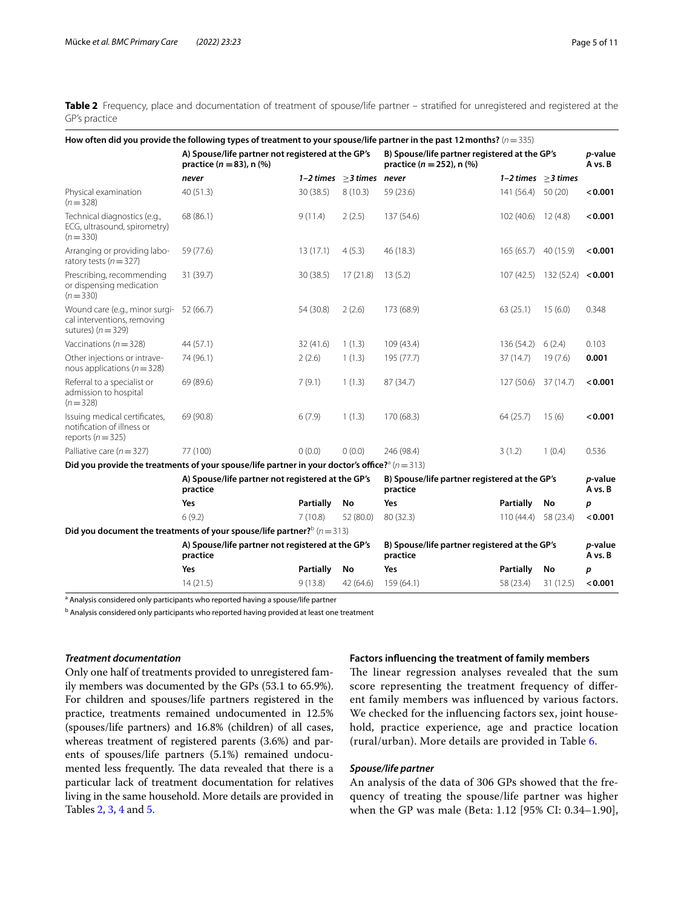<span id="page-4-0"></span>Table 2 Frequency, place and documentation of treatment of spouse/life partner – stratified for unregistered and registered at the GP's practice

|                                                                                       | How often did you provide the following types of treatment to your spouse/life partner in the past 12 months? ( $n=335$ ) |                  |                                |                                                                                |                      |                                |                    |
|---------------------------------------------------------------------------------------|---------------------------------------------------------------------------------------------------------------------------|------------------|--------------------------------|--------------------------------------------------------------------------------|----------------------|--------------------------------|--------------------|
|                                                                                       | A) Spouse/life partner not registered at the GP's<br>practice ( $n = 83$ ), n (%)                                         |                  |                                | B) Spouse/life partner registered at the GP's<br>practice ( $n = 252$ ), n (%) |                      |                                | p-value<br>A vs. B |
|                                                                                       | never                                                                                                                     |                  | 1-2 times $\geq$ 3 times never |                                                                                |                      | $1-2$ times $>3$ times         |                    |
| Physical examination<br>$(n=328)$                                                     | 40 (51.3)                                                                                                                 | 30 (38.5)        | 8(10.3)                        | 59 (23.6)                                                                      | 141 (56.4) 50 (20)   |                                | < 0.001            |
| Technical diagnostics (e.g.,<br>ECG, ultrasound, spirometry)<br>$(n = 330)$           | 68 (86.1)                                                                                                                 | 9(11.4)          | 2(2.5)                         | 137 (54.6)                                                                     | 102 (40.6) 12 (4.8)  |                                | < 0.001            |
| Arranging or providing labo-<br>ratory tests ( $n = 327$ )                            | 59 (77.6)                                                                                                                 | 13(17.1)         | 4(5.3)                         | 46 (18.3)                                                                      | 165 (65.7) 40 (15.9) |                                | < 0.001            |
| Prescribing, recommending<br>or dispensing medication<br>$(n=330)$                    | 31 (39.7)                                                                                                                 | 30(38.5)         | 17(21.8)                       | 13(5.2)                                                                        |                      | $107(42.5)$ 132 (52.4) < 0.001 |                    |
| Wound care (e.g., minor surgi-<br>cal interventions, removing<br>sutures) $(n = 329)$ | 52 (66.7)                                                                                                                 | 54 (30.8)        | 2(2.6)                         | 173 (68.9)                                                                     | 63(25.1)             | 15(6.0)                        | 0.348              |
| Vaccinations ( $n = 328$ )                                                            | 44 (57.1)                                                                                                                 | 32(41.6)         | 1(1.3)                         | 109 (43.4)                                                                     | 136 (54.2)           | 6(2.4)                         | 0.103              |
| Other injections or intrave-<br>nous applications ( $n = 328$ )                       | 74 (96.1)                                                                                                                 | 2(2.6)           | 1(1.3)                         | 195 (77.7)                                                                     | 37 (14.7)            | 19(7.6)                        | 0.001              |
| Referral to a specialist or<br>admission to hospital<br>$(n=328)$                     | 69 (89.6)                                                                                                                 | 7(9.1)           | 1(1.3)                         | 87 (34.7)                                                                      | 127 (50.6) 37 (14.7) |                                | < 0.001            |
| Issuing medical certificates,<br>notification of illness or<br>reports ( $n = 325$ )  | 69 (90.8)                                                                                                                 | 6(7.9)           | 1(1.3)                         | 170 (68.3)                                                                     | 64 (25.7)            | 15(6)                          | < 0.001            |
| Palliative care $(n = 327)$                                                           | 77 (100)                                                                                                                  | 0(0.0)           | 0(0.0)                         | 246 (98.4)                                                                     | 3(1.2)               | 1(0.4)                         | 0.536              |
|                                                                                       | Did you provide the treatments of your spouse/life partner in your doctor's office? <sup>3</sup> ( $n=313$ )              |                  |                                |                                                                                |                      |                                |                    |
|                                                                                       | A) Spouse/life partner not registered at the GP's<br>practice                                                             |                  |                                | B) Spouse/life partner registered at the GP's<br>practice                      |                      |                                | p-value<br>A vs. B |
|                                                                                       | Yes                                                                                                                       | <b>Partially</b> | No                             | Yes                                                                            | Partially            | No                             | p                  |
|                                                                                       | 6(9.2)                                                                                                                    | 7(10.8)          | 52 (80.0)                      | 80 (32.3)                                                                      | 110 (44.4)           | 58 (23.4)                      | < 0.001            |
|                                                                                       | Did you document the treatments of your spouse/life partner? $(n=313)$                                                    |                  |                                |                                                                                |                      |                                |                    |
|                                                                                       | A) Spouse/life partner not registered at the GP's<br>practice                                                             |                  |                                | B) Spouse/life partner registered at the GP's<br>practice                      |                      |                                | p-value<br>A vs. B |
|                                                                                       | Yes                                                                                                                       | Partially        | No                             | Yes                                                                            | Partially            | No                             | p                  |
|                                                                                       | 14(21.5)                                                                                                                  | 9(13.8)          | 42 (64.6)                      | 159 (64.1)                                                                     | 58 (23.4)            | 31(12.5)                       | < 0.001            |

<sup>a</sup> Analysis considered only participants who reported having a spouse/life partner

<sup>b</sup> Analysis considered only participants who reported having provided at least one treatment

#### *Treatment documentation*

Only one half of treatments provided to unregistered family members was documented by the GPs (53.1 to 65.9%). For children and spouses/life partners registered in the practice, treatments remained undocumented in 12.5% (spouses/life partners) and 16.8% (children) of all cases, whereas treatment of registered parents (3.6%) and parents of spouses/life partners (5.1%) remained undocumented less frequently. The data revealed that there is a particular lack of treatment documentation for relatives living in the same household. More details are provided in Tables [2,](#page-4-0) [3,](#page-5-0) [4](#page-6-0) and [5.](#page-7-0)

#### **Factors infuencing the treatment of family members**

The linear regression analyses revealed that the sum score representing the treatment frequency of diferent family members was infuenced by various factors. We checked for the infuencing factors sex, joint household, practice experience, age and practice location (rural/urban). More details are provided in Table [6](#page-8-0).

## *Spouse/life partner*

An analysis of the data of 306 GPs showed that the frequency of treating the spouse/life partner was higher when the GP was male (Beta: 1.12 [95% CI: 0.34–1.90],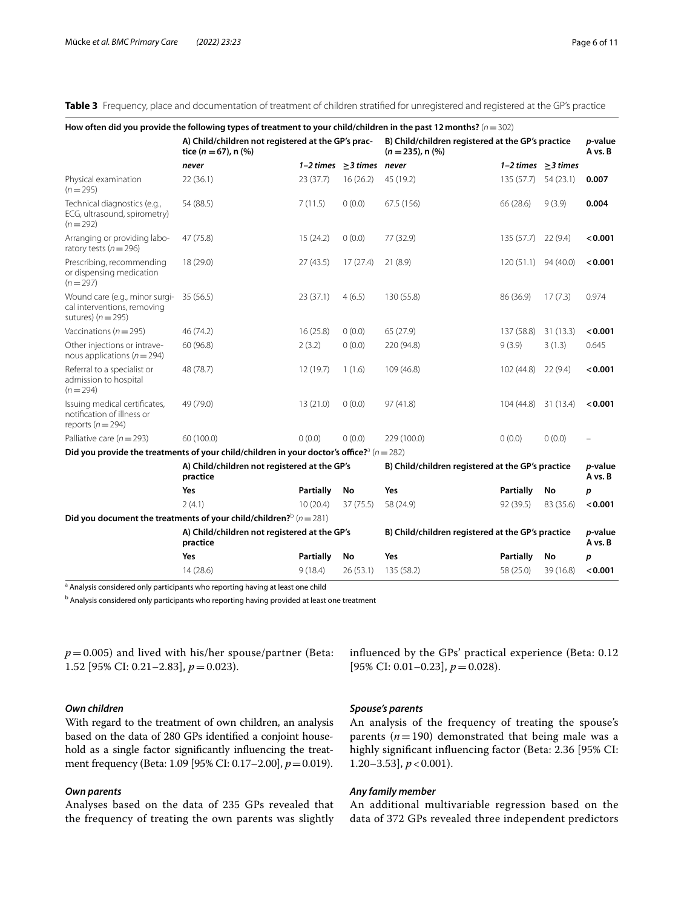<span id="page-5-0"></span>**Table 3** Frequency, place and documentation of treatment of children stratifed for unregistered and registered at the GP's practice

|                                                                                                   | How often did you provide the following types of treatment to your child/children in the past 12 months? $(n=302)$ |                  |                                |                                                                             |                          |           |                    |
|---------------------------------------------------------------------------------------------------|--------------------------------------------------------------------------------------------------------------------|------------------|--------------------------------|-----------------------------------------------------------------------------|--------------------------|-----------|--------------------|
|                                                                                                   | A) Child/children not registered at the GP's prac-<br>tice ( $n = 67$ ), n (%)                                     |                  |                                | B) Child/children registered at the GP's practice<br>$(n = 235)$ , n $(\%)$ |                          |           | p-value<br>A vs. B |
|                                                                                                   | never                                                                                                              |                  | 1-2 times $\geq$ 3 times never |                                                                             | 1-2 times $\geq$ 3 times |           |                    |
| Physical examination<br>$(n=295)$                                                                 | 22(36.1)                                                                                                           | 23(37.7)         | 16(26.2)                       | 45 (19.2)                                                                   | 135(57.7)                | 54(23.1)  | 0.007              |
| Technical diagnostics (e.g.,<br>ECG, ultrasound, spirometry)<br>$(n=292)$                         | 54 (88.5)                                                                                                          | 7(11.5)          | 0(0.0)                         | 67.5 (156)                                                                  | 66 (28.6)                | 9(3.9)    | 0.004              |
| Arranging or providing labo-<br>ratory tests ( $n = 296$ )                                        | 47 (75.8)                                                                                                          | 15(24.2)         | 0(0.0)                         | 77 (32.9)                                                                   | 135 (57.7) 22 (9.4)      |           | < 0.001            |
| Prescribing, recommending<br>or dispensing medication<br>$(n=297)$                                | 18 (29.0)                                                                                                          | 27(43.5)         | 17(27.4)                       | 21(8.9)                                                                     | 120 (51.1) 94 (40.0)     |           | < 0.001            |
| Wound care (e.g., minor surgi- 35 (56.5)<br>cal interventions, removing<br>sutures) ( $n = 295$ ) |                                                                                                                    | 23(37.1)         | 4(6.5)                         | 130 (55.8)                                                                  | 86 (36.9)                | 17(7.3)   | 0.974              |
| Vaccinations ( $n = 295$ )                                                                        | 46 (74.2)                                                                                                          | 16(25.8)         | 0(0.0)                         | 65 (27.9)                                                                   | 137 (58.8)               | 31 (13.3) | < 0.001            |
| Other injections or intrave-<br>nous applications ( $n = 294$ )                                   | 60 (96.8)                                                                                                          | 2(3.2)           | 0(0.0)                         | 220 (94.8)                                                                  | 9(3.9)                   | 3(1.3)    | 0.645              |
| Referral to a specialist or<br>admission to hospital<br>$(n=294)$                                 | 48 (78.7)                                                                                                          | 12(19.7)         | 1(1.6)                         | 109 (46.8)                                                                  | 102(44.8)                | 22(9.4)   | < 0.001            |
| Issuing medical certificates,<br>notification of illness or<br>reports ( $n = 294$ )              | 49 (79.0)                                                                                                          | 13(21.0)         | 0(0.0)                         | 97(41.8)                                                                    | 104(44.8)                | 31 (13.4) | < 0.001            |
| Palliative care ( $n = 293$ )                                                                     | 60 (100.0)                                                                                                         | 0(0.0)           | 0(0.0)                         | 229 (100.0)                                                                 | 0(0.0)                   | 0(0.0)    |                    |
|                                                                                                   | Did you provide the treatments of your child/children in your doctor's office? <sup>3</sup> ( $n=282$ )            |                  |                                |                                                                             |                          |           |                    |
|                                                                                                   | A) Child/children not registered at the GP's<br>practice                                                           |                  |                                | B) Child/children registered at the GP's practice                           |                          |           | p-value<br>A vs. B |
|                                                                                                   | Yes                                                                                                                | Partially        | No                             | Yes                                                                         | Partially                | No        | p                  |
|                                                                                                   | 2(4.1)                                                                                                             | 10(20.4)         | 37 (75.5)                      | 58 (24.9)                                                                   | 92 (39.5)                | 83 (35.6) | < 0.001            |
|                                                                                                   | Did you document the treatments of your child/children? $b(n=281)$                                                 |                  |                                |                                                                             |                          |           |                    |
|                                                                                                   | A) Child/children not registered at the GP's<br>practice                                                           |                  |                                | B) Child/children registered at the GP's practice                           |                          |           | p-value<br>A vs. B |
|                                                                                                   | Yes                                                                                                                | <b>Partially</b> | No                             | Yes                                                                         | Partially                | No        | p                  |
|                                                                                                   | 14(28.6)                                                                                                           | 9(18.4)          | 26(53.1)                       | 135 (58.2)                                                                  | 58 (25.0)                | 39 (16.8) | < 0.001            |

<sup>a</sup> Analysis considered only participants who reporting having at least one child

<sup>b</sup> Analysis considered only participants who reporting having provided at least one treatment

 $p=0.005$ ) and lived with his/her spouse/partner (Beta: 1.52 [95% CI: 0.21–2.83], *p*=0.023).

# [95% CI: 0.01–0.23], *p*=0.028).

## *Own children*

With regard to the treatment of own children, an analysis based on the data of 280 GPs identifed a conjoint household as a single factor signifcantly infuencing the treatment frequency (Beta: 1.09 [95% CI: 0.17-2.00],  $p = 0.019$ ).

## *Own parents*

Analyses based on the data of 235 GPs revealed that the frequency of treating the own parents was slightly

## *Spouse's parents*

An analysis of the frequency of treating the spouse's parents  $(n=190)$  demonstrated that being male was a highly signifcant infuencing factor (Beta: 2.36 [95% CI: 1.20–3.53], *p* < 0.001).

infuenced by the GPs' practical experience (Beta: 0.12

#### *Any family member*

An additional multivariable regression based on the data of 372 GPs revealed three independent predictors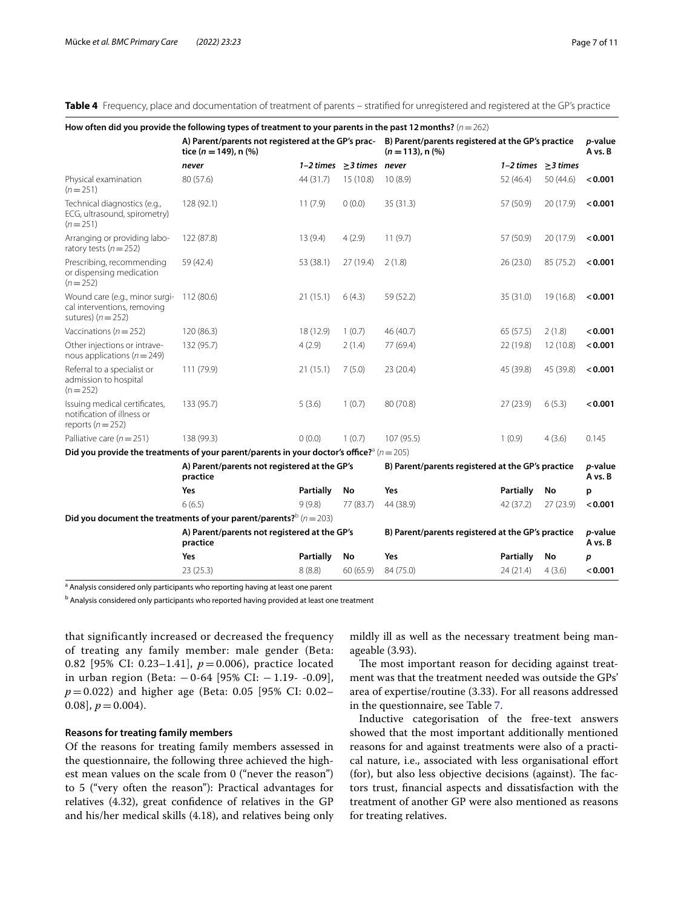<span id="page-6-0"></span>**Table 4** Frequency, place and documentation of treatment of parents – stratifed for unregistered and registered at the GP's practice

|                                                                                                | How often did you provide the following types of treatment to your parents in the past 12 months? $(n=262)$            |                  |                                |                                                                             |                            |                          |                    |
|------------------------------------------------------------------------------------------------|------------------------------------------------------------------------------------------------------------------------|------------------|--------------------------------|-----------------------------------------------------------------------------|----------------------------|--------------------------|--------------------|
|                                                                                                | A) Parent/parents not registered at the GP's prac-<br>tice ( $n = 149$ ), n (%)                                        |                  |                                | B) Parent/parents registered at the GP's practice<br>$(n = 113)$ , n $(\%)$ | <i>p</i> -value<br>A vs. B |                          |                    |
|                                                                                                | never                                                                                                                  |                  | 1-2 times $\geq$ 3 times never |                                                                             |                            | 1-2 times $\geq$ 3 times |                    |
| Physical examination<br>$(n=251)$                                                              | 80 (57.6)                                                                                                              | 44 (31.7)        | 15(10.8)                       | 10(8.9)                                                                     | 52 (46.4)                  | 50 (44.6)                | < 0.001            |
| Technical diagnostics (e.g.,<br>ECG, ultrasound, spirometry)<br>$(n=251)$                      | 128 (92.1)                                                                                                             | 11(7.9)          | 0(0.0)                         | 35(31.3)                                                                    | 57 (50.9)                  | 20 (17.9)                | < 0.001            |
| Arranging or providing labo-<br>ratory tests ( $n = 252$ )                                     | 122 (87.8)                                                                                                             | 13(9.4)          | 4(2.9)                         | 11(9.7)                                                                     | 57 (50.9)                  | 20 (17.9)                | < 0.001            |
| Prescribing, recommending<br>or dispensing medication<br>$(n=252)$                             | 59 (42.4)                                                                                                              | 53 (38.1)        | 27 (19.4)                      | 2(1.8)                                                                      | 26(23.0)                   | 85 (75.2)                | < 0.001            |
| Wound care (e.g., minor surgi- 112 (80.6)<br>cal interventions, removing<br>sutures) $(n=252)$ |                                                                                                                        | 21(15.1)         | 6(4.3)                         | 59 (52.2)                                                                   | 35 (31.0)                  | 19 (16.8)                | < 0.001            |
| Vaccinations ( $n = 252$ )                                                                     | 120 (86.3)                                                                                                             | 18 (12.9)        | 1(0.7)                         | 46 (40.7)                                                                   | 65 (57.5)                  | 2(1.8)                   | < 0.001            |
| Other injections or intrave-<br>nous applications ( $n = 249$ )                                | 132 (95.7)                                                                                                             | 4(2.9)           | 2(1.4)                         | 77 (69.4)                                                                   | 22 (19.8)                  | 12(10.8)                 | < 0.001            |
| Referral to a specialist or<br>admission to hospital<br>$(n=252)$                              | 111 (79.9)                                                                                                             | 21(15.1)         | 7(5.0)                         | 23 (20.4)                                                                   | 45 (39.8)                  | 45 (39.8)                | < 0.001            |
| Issuing medical certificates,<br>notification of illness or<br>reports ( $n = 252$ )           | 133 (95.7)                                                                                                             | 5(3.6)           | 1(0.7)                         | 80 (70.8)                                                                   | 27(23.9)                   | 6(5.3)                   | < 0.001            |
| Palliative care ( $n = 251$ )                                                                  | 138 (99.3)                                                                                                             | 0(0.0)           | 1(0.7)                         | 107 (95.5)                                                                  | 1(0.9)                     | 4(3.6)                   | 0.145              |
|                                                                                                | Did you provide the treatments of your parent/parents in your doctor's office? <sup><math>a</math></sup> ( $n = 205$ ) |                  |                                |                                                                             |                            |                          |                    |
|                                                                                                | A) Parent/parents not registered at the GP's<br>practice                                                               |                  |                                | B) Parent/parents registered at the GP's practice                           |                            |                          | p-value<br>A vs. B |
|                                                                                                | Yes                                                                                                                    | <b>Partially</b> | No                             | <b>Yes</b>                                                                  | <b>Partially</b>           | No                       | p                  |
|                                                                                                | 6(6.5)                                                                                                                 | 9(9.8)           | 77 (83.7)                      | 44 (38.9)                                                                   | 42 (37.2)                  | 27(23.9)                 | < 0.001            |
|                                                                                                | Did you document the treatments of your parent/parents? $\frac{b}{n}$ ( $n = 203$ )                                    |                  |                                |                                                                             |                            |                          |                    |
|                                                                                                | A) Parent/parents not registered at the GP's<br>practice                                                               |                  |                                | B) Parent/parents registered at the GP's practice                           |                            |                          | p-value<br>A vs. B |
|                                                                                                | Yes                                                                                                                    | Partially        | No                             | Yes                                                                         | <b>Partially</b>           | No                       | p                  |
|                                                                                                | 23 (25.3)                                                                                                              | 8(8.8)           | 60 (65.9)                      | 84 (75.0)                                                                   | 24 (21.4)                  | 4(3.6)                   | < 0.001            |

<sup>a</sup> Analysis considered only participants who reporting having at least one parent

<sup>b</sup> Analysis considered only participants who reported having provided at least one treatment

that significantly increased or decreased the frequency of treating any family member: male gender (Beta: 0.82 [95% CI: 0.23–1.41], *p* = 0.006), practice located in urban region (Beta: − 0-64 [95% CI: − 1.19- -0.09], *p* = 0.022) and higher age (Beta: 0.05 [95% CI: 0.02–  $[0.08], p = 0.004$ .

#### **Reasons for treating family members**

Of the reasons for treating family members assessed in the questionnaire, the following three achieved the highest mean values on the scale from 0 ("never the reason") to 5 ("very often the reason"): Practical advantages for relatives (4.32), great confdence of relatives in the GP and his/her medical skills (4.18), and relatives being only mildly ill as well as the necessary treatment being manageable (3.93).

The most important reason for deciding against treatment was that the treatment needed was outside the GPs' area of expertise/routine (3.33). For all reasons addressed in the questionnaire, see Table [7.](#page-8-1)

Inductive categorisation of the free-text answers showed that the most important additionally mentioned reasons for and against treatments were also of a practical nature, i.e., associated with less organisational efort  $(for)$ , but also less objective decisions (against). The factors trust, fnancial aspects and dissatisfaction with the treatment of another GP were also mentioned as reasons for treating relatives.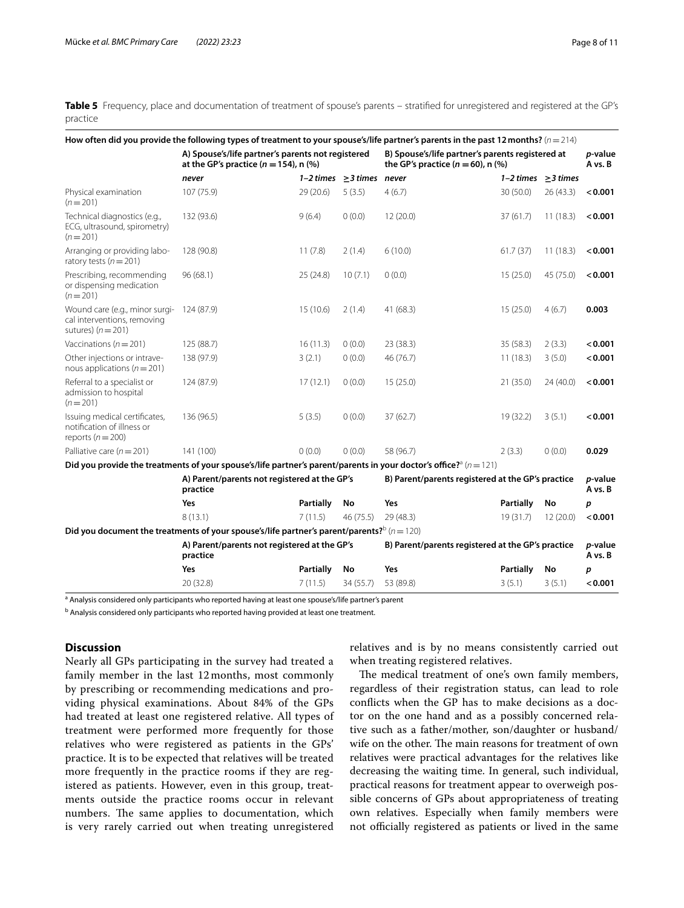<span id="page-7-0"></span>Table 5 Frequency, place and documentation of treatment of spouse's parents – stratified for unregistered and registered at the GP's practice

|                                                                                                |                                                                                                |                  |                                | How often did you provide the following types of treatment to your spouse's/life partner's parents in the past 12 months? ( $n=214$ ) |                          |           |                    |
|------------------------------------------------------------------------------------------------|------------------------------------------------------------------------------------------------|------------------|--------------------------------|---------------------------------------------------------------------------------------------------------------------------------------|--------------------------|-----------|--------------------|
|                                                                                                | A) Spouse's/life partner's parents not registered<br>at the GP's practice ( $n = 154$ ), n (%) |                  |                                | B) Spouse's/life partner's parents registered at<br>the GP's practice $(n = 60)$ , n $(\%)$                                           |                          |           | p-value<br>A vs. B |
|                                                                                                | never                                                                                          |                  | 1-2 times $\geq$ 3 times never |                                                                                                                                       | 1-2 times $\geq$ 3 times |           |                    |
| Physical examination<br>$(n=201)$                                                              | 107 (75.9)                                                                                     | 29(20.6)         | 5(3.5)                         | 4(6.7)                                                                                                                                | 30 (50.0)                | 26(43.3)  | < 0.001            |
| Technical diagnostics (e.g.,<br>ECG, ultrasound, spirometry)<br>$(n=201)$                      | 132 (93.6)                                                                                     | 9(6.4)           | 0(0.0)                         | 12(20.0)                                                                                                                              | 37(61.7)                 | 11(18.3)  | < 0.001            |
| Arranging or providing labo-<br>ratory tests ( $n = 201$ )                                     | 128 (90.8)                                                                                     | 11(7.8)          | 2(1.4)                         | 6(10.0)                                                                                                                               | 61.7(37)                 | 11(18.3)  | < 0.001            |
| Prescribing, recommending<br>or dispensing medication<br>$(n=201)$                             | 96 (68.1)                                                                                      | 25(24.8)         | 10(7.1)                        | 0(0.0)                                                                                                                                | 15(25.0)                 | 45 (75.0) | < 0.001            |
| Wound care (e.g., minor surgi- 124 (87.9)<br>cal interventions, removing<br>sutures) $(n=201)$ |                                                                                                | 15(10.6)         | 2(1.4)                         | 41 (68.3)                                                                                                                             | 15(25.0)                 | 4(6.7)    | 0.003              |
| Vaccinations ( $n = 201$ )                                                                     | 125 (88.7)                                                                                     | 16(11.3)         | 0(0.0)                         | 23 (38.3)                                                                                                                             | 35 (58.3)                | 2(3.3)    | < 0.001            |
| Other injections or intrave-<br>nous applications ( $n = 201$ )                                | 138 (97.9)                                                                                     | 3(2.1)           | 0(0.0)                         | 46 (76.7)                                                                                                                             | 11(18.3)                 | 3(5.0)    | < 0.001            |
| Referral to a specialist or<br>admission to hospital<br>$(n=201)$                              | 124 (87.9)                                                                                     | 17(12.1)         | 0(0.0)                         | 15(25.0)                                                                                                                              | 21 (35.0)                | 24(40.0)  | < 0.001            |
| Issuing medical certificates,<br>notification of illness or<br>reports ( $n = 200$ )           | 136 (96.5)                                                                                     | 5(3.5)           | 0(0.0)                         | 37(62.7)                                                                                                                              | 19 (32.2)                | 3(5.1)    | < 0.001            |
| Palliative care ( $n = 201$ )                                                                  | 141 (100)                                                                                      | 0(0.0)           | 0(0.0)                         | 58 (96.7)                                                                                                                             | 2(3.3)                   | 0(0.0)    | 0.029              |
|                                                                                                |                                                                                                |                  |                                | Did you provide the treatments of your spouse's/life partner's parent/parents in your doctor's office? <sup>3</sup> ( $n=121$ )       |                          |           |                    |
|                                                                                                | A) Parent/parents not registered at the GP's<br>practice                                       |                  |                                | B) Parent/parents registered at the GP's practice                                                                                     |                          |           | p-value<br>A vs. B |
|                                                                                                | Yes                                                                                            | Partially        | No                             | Yes                                                                                                                                   | <b>Partially</b>         | No        | p                  |
|                                                                                                | 8(13.1)                                                                                        | 7(11.5)          | 46(75.5)                       | 29 (48.3)                                                                                                                             | 19 (31.7)                | 12(20.0)  | < 0.001            |
|                                                                                                | Did you document the treatments of your spouse's/life partner's parent/parents? $b(n=120)$     |                  |                                |                                                                                                                                       |                          |           |                    |
|                                                                                                | A) Parent/parents not registered at the GP's<br>practice                                       |                  |                                | B) Parent/parents registered at the GP's practice                                                                                     |                          |           | p-value<br>A vs. B |
|                                                                                                | Yes                                                                                            | <b>Partially</b> | No                             | Yes                                                                                                                                   | <b>Partially</b>         | No        | p                  |
|                                                                                                | 20 (32.8)                                                                                      | 7(11.5)          | 34 (55.7)                      | 53 (89.8)                                                                                                                             | 3(5.1)                   | 3(5.1)    | < 0.001            |

<sup>a</sup> Analysis considered only participants who reported having at least one spouse's/life partner's parent

<sup>b</sup> Analysis considered only participants who reported having provided at least one treatment.

## **Discussion**

Nearly all GPs participating in the survey had treated a family member in the last 12 months, most commonly by prescribing or recommending medications and providing physical examinations. About 84% of the GPs had treated at least one registered relative. All types of treatment were performed more frequently for those relatives who were registered as patients in the GPs' practice. It is to be expected that relatives will be treated more frequently in the practice rooms if they are registered as patients. However, even in this group, treatments outside the practice rooms occur in relevant numbers. The same applies to documentation, which is very rarely carried out when treating unregistered relatives and is by no means consistently carried out when treating registered relatives.

The medical treatment of one's own family members, regardless of their registration status, can lead to role conficts when the GP has to make decisions as a doctor on the one hand and as a possibly concerned relative such as a father/mother, son/daughter or husband/ wife on the other. The main reasons for treatment of own relatives were practical advantages for the relatives like decreasing the waiting time. In general, such individual, practical reasons for treatment appear to overweigh possible concerns of GPs about appropriateness of treating own relatives. Especially when family members were not officially registered as patients or lived in the same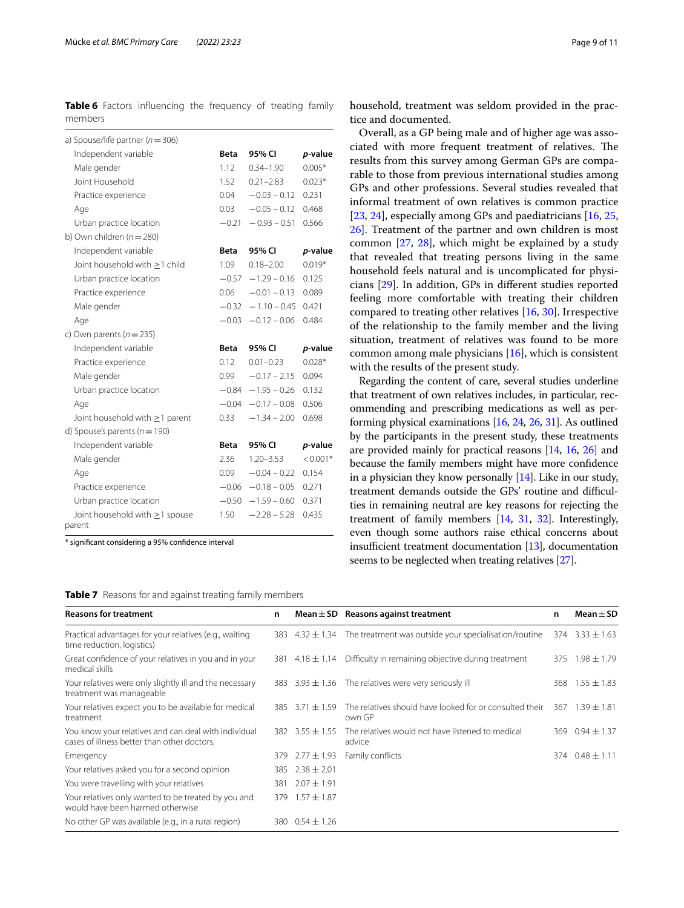<span id="page-8-0"></span>**Table 6** Factors influencing the frequency of treating family members

| a) Spouse/life partner ( $n = 306$ ) |             |                        |            |
|--------------------------------------|-------------|------------------------|------------|
| Independent variable                 | Beta        | 95% CI                 | p-value    |
| Male gender                          | 1.12        | $0.34 - 1.90$          | $0.005*$   |
| Joint Household                      | 1.52        | $0.21 - 2.83$          | $0.023*$   |
| Practice experience                  | 0.04        | $-0.03 - 0.12$         | 0.231      |
| Age                                  | 0.03        | $-0.05 - 0.12$         | 0.468      |
| Urban practice location              | $-0.21$     | $-0.93 - 0.51$         | 0.566      |
| b) Own children $(n=280)$            |             |                        |            |
| Independent variable                 | Beta        | 95% CI                 | p-value    |
| Joint household with $\geq$ 1 child  | 1.09        | $0.18 - 2.00$          | $0.019*$   |
| Urban practice location              | $-0.57$     | $-1.29 - 0.16$         | 0.125      |
| Practice experience                  | 0.06        | $-0.01 - 0.13$         | 0.089      |
| Male gender                          | $-0.32$     | $-1.10 - 0.45$         | 0.421      |
| Age                                  | $-0.03$     | $-0.12 - 0.06$         | 0.484      |
| c) Own parents $(n=235)$             |             |                        |            |
| Independent variable                 | <b>Beta</b> | 95% CI                 | p-value    |
| Practice experience                  | 0.12        | $0.01 - 0.23$          | $0.028*$   |
| Male gender                          | 0.99        | $-0.17 - 2.15$         | 0.094      |
| Urban practice location              |             | $-0.84 - 1.95 - 0.26$  | 0.132      |
| Age                                  | $-0.04$     | $-0.17 - 0.08$         | 0.506      |
| Joint household with $\geq$ 1 parent | 0.33        | $-1.34 - 2.00$         | 0.698      |
| d) Spouse's parents ( $n = 190$ )    |             |                        |            |
| Independent variable                 | <b>Beta</b> | 95% CI                 | p-value    |
| Male gender                          | 2.36        | $1.20 - 3.53$          | $< 0.001*$ |
| Age                                  | 0.09        | $-0.04 - 0.22$         | 0.154      |
| Practice experience                  |             | $-0.06$ $-0.18 - 0.05$ | 0.271      |
| Urban practice location              | $-0.50$     | $-1.59 - 0.60$         | 0.371      |
| Joint household with $\geq$ 1 spouse | 1.50        | $-2.28 - 5.28$         | 0.435      |

\* signifcant considering a 95% confdence interval

<span id="page-8-1"></span>**Table 7** Reasons for and against treating family members

household, treatment was seldom provided in the practice and documented.

Overall, as a GP being male and of higher age was associated with more frequent treatment of relatives. The results from this survey among German GPs are comparable to those from previous international studies among GPs and other professions. Several studies revealed that informal treatment of own relatives is common practice [[23,](#page-10-10) [24](#page-10-11)], especially among GPs and paediatricians [\[16,](#page-10-3) [25](#page-10-12), [26\]](#page-10-13). Treatment of the partner and own children is most common [\[27,](#page-10-14) [28\]](#page-10-15), which might be explained by a study that revealed that treating persons living in the same household feels natural and is uncomplicated for physicians [\[29\]](#page-10-16). In addition, GPs in diferent studies reported feeling more comfortable with treating their children compared to treating other relatives [[16](#page-10-3), [30](#page-10-17)]. Irrespective of the relationship to the family member and the living situation, treatment of relatives was found to be more common among male physicians [[16\]](#page-10-3), which is consistent with the results of the present study.

Regarding the content of care, several studies underline that treatment of own relatives includes, in particular, recommending and prescribing medications as well as performing physical examinations [\[16,](#page-10-3) [24,](#page-10-11) [26](#page-10-13), [31](#page-10-18)]. As outlined by the participants in the present study, these treatments are provided mainly for practical reasons [[14](#page-10-1), [16](#page-10-3), [26](#page-10-13)] and because the family members might have more confdence in a physician they know personally [\[14\]](#page-10-1). Like in our study, treatment demands outside the GPs' routine and difficulties in remaining neutral are key reasons for rejecting the treatment of family members [\[14,](#page-10-1) [31](#page-10-18), [32](#page-10-19)]. Interestingly, even though some authors raise ethical concerns about insufficient treatment documentation  $[13]$ , documentation seems to be neglected when treating relatives [[27](#page-10-14)].

| <b>Reasons for treatment</b>                                                                        | n   |                       | Mean $\pm$ SD Reasons against treatment                                   | n   | $Mean + SD$           |
|-----------------------------------------------------------------------------------------------------|-----|-----------------------|---------------------------------------------------------------------------|-----|-----------------------|
| Practical advantages for your relatives (e.g., waiting<br>time reduction, logistics)                |     |                       | 383 $4.32 \pm 1.34$ The treatment was outside your specialisation/routine |     | $374$ $3.33 \pm 1.63$ |
| Great confidence of your relatives in you and in your<br>medical skills                             |     | 381 $4.18 \pm 1.14$   | Difficulty in remaining objective during treatment                        |     | 375 1.98 ± 1.79       |
| Your relatives were only slightly ill and the necessary<br>treatment was manageable                 |     |                       | 383 3.93 $\pm$ 1.36 The relatives were very seriously ill                 |     | 368 $1.55 \pm 1.83$   |
| Your relatives expect you to be available for medical<br>treatment                                  |     | $385$ $3.71 \pm 1.59$ | The relatives should have looked for or consulted their<br>own GP         | 367 | $1.39 + 1.81$         |
| You know your relatives and can deal with individual<br>cases of illness better than other doctors. |     | 382 $3.55 \pm 1.55$   | The relatives would not have listened to medical<br>advice                | 369 | $0.94 \pm 1.37$       |
| Emergency                                                                                           | 379 | $2.77 \pm 1.93$       | Family conflicts                                                          |     | 374 $0.48 \pm 1.11$   |
| Your relatives asked you for a second opinion                                                       | 385 | $2.38 \pm 2.01$       |                                                                           |     |                       |
| You were travelling with your relatives                                                             | 381 | $2.07 \pm 1.91$       |                                                                           |     |                       |
| Your relatives only wanted to be treated by you and<br>would have been harmed otherwise             | 379 | $1.57 \pm 1.87$       |                                                                           |     |                       |
| No other GP was available (e.g., in a rural region)                                                 |     | 380 $0.54 \pm 1.26$   |                                                                           |     |                       |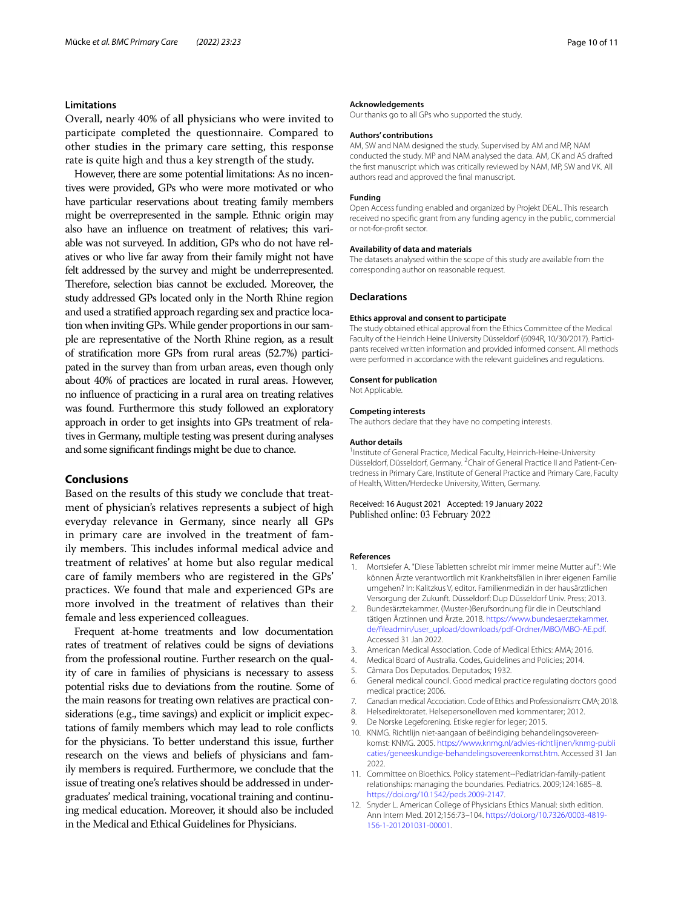#### **Limitations**

Overall, nearly 40% of all physicians who were invited to participate completed the questionnaire. Compared to other studies in the primary care setting, this response rate is quite high and thus a key strength of the study.

However, there are some potential limitations: As no incentives were provided, GPs who were more motivated or who have particular reservations about treating family members might be overrepresented in the sample. Ethnic origin may also have an infuence on treatment of relatives; this variable was not surveyed. In addition, GPs who do not have relatives or who live far away from their family might not have felt addressed by the survey and might be underrepresented. Therefore, selection bias cannot be excluded. Moreover, the study addressed GPs located only in the North Rhine region and used a stratifed approach regarding sex and practice location when inviting GPs. While gender proportions in our sample are representative of the North Rhine region, as a result of stratifcation more GPs from rural areas (52.7%) participated in the survey than from urban areas, even though only about 40% of practices are located in rural areas. However, no infuence of practicing in a rural area on treating relatives was found. Furthermore this study followed an exploratory approach in order to get insights into GPs treatment of relatives in Germany, multiple testing was present during analyses and some signifcant fndings might be due to chance.

## **Conclusions**

Based on the results of this study we conclude that treatment of physician's relatives represents a subject of high everyday relevance in Germany, since nearly all GPs in primary care are involved in the treatment of family members. This includes informal medical advice and treatment of relatives' at home but also regular medical care of family members who are registered in the GPs' practices. We found that male and experienced GPs are more involved in the treatment of relatives than their female and less experienced colleagues.

Frequent at-home treatments and low documentation rates of treatment of relatives could be signs of deviations from the professional routine. Further research on the quality of care in families of physicians is necessary to assess potential risks due to deviations from the routine. Some of the main reasons for treating own relatives are practical considerations (e.g., time savings) and explicit or implicit expectations of family members which may lead to role conficts for the physicians. To better understand this issue, further research on the views and beliefs of physicians and family members is required. Furthermore, we conclude that the issue of treating one's relatives should be addressed in undergraduates' medical training, vocational training and continuing medical education. Moreover, it should also be included in the Medical and Ethical Guidelines for Physicians.

#### **Acknowledgements**

Our thanks go to all GPs who supported the study.

#### **Authors' contributions**

AM, SW and NAM designed the study. Supervised by AM and MP, NAM conducted the study. MP and NAM analysed the data. AM, CK and AS drafted the frst manuscript which was critically reviewed by NAM, MP, SW and VK. All authors read and approved the fnal manuscript.

#### **Funding**

Open Access funding enabled and organized by Projekt DEAL. This research received no specifc grant from any funding agency in the public, commercial or not-for-proft sector.

#### **Availability of data and materials**

The datasets analysed within the scope of this study are available from the corresponding author on reasonable request.

#### **Declarations**

#### **Ethics approval and consent to participate**

The study obtained ethical approval from the Ethics Committee of the Medical Faculty of the Heinrich Heine University Düsseldorf (6094R, 10/30/2017). Participants received written information and provided informed consent. All methods were performed in accordance with the relevant guidelines and regulations.

## **Consent for publication**

Not Applicable.

#### **Competing interests**

The authors declare that they have no competing interests.

#### **Author details**

<sup>1</sup> Institute of General Practice, Medical Faculty, Heinrich-Heine-University Düsseldorf, Düsseldorf, Germany. <sup>2</sup>Chair of General Practice II and Patient-Centredness in Primary Care, Institute of General Practice and Primary Care, Faculty of Health, Witten/Herdecke University, Witten, Germany.

#### Received: 16 August 2021 Accepted: 19 January 2022 Published online: 03 February 2022

#### **References**

- <span id="page-9-0"></span>1. Mortsiefer A. "Diese Tabletten schreibt mir immer meine Mutter auf".: Wie können Ärzte verantwortlich mit Krankheitsfällen in ihrer eigenen Familie umgehen? In: Kalitzkus V, editor. Familienmedizin in der hausärztlichen Versorgung der Zukunft. Düsseldorf: Dup Düsseldorf Univ. Press; 2013.
- <span id="page-9-1"></span>2. Bundesärztekammer. (Muster-)Berufsordnung für die in Deutschland tätigen Ärztinnen und Ärzte. 2018. [https://www.bundesaerztekammer.](https://www.bundesaerztekammer.de/fileadmin/user_upload/downloads/pdf-Ordner/MBO/MBO-AE.pdf) [de/fleadmin/user\\_upload/downloads/pdf-Ordner/MBO/MBO-AE.pdf.](https://www.bundesaerztekammer.de/fileadmin/user_upload/downloads/pdf-Ordner/MBO/MBO-AE.pdf) Accessed 31 Jan 2022.
- <span id="page-9-2"></span>3. American Medical Association. Code of Medical Ethics: AMA; 2016.
- <span id="page-9-3"></span>4. Medical Board of Australia. Codes, Guidelines and Policies; 2014.
- <span id="page-9-4"></span>5. Câmara Dos Deputados. Deputados; 1932.
- <span id="page-9-5"></span>6. General medical council. Good medical practice regulating doctors good medical practice; 2006.
- <span id="page-9-7"></span>7. Canadian medical Accociation. Code of Ethics and Professionalism: CMA; 2018.
- 8. Helsedirektoratet. Helsepersonelloven med kommentarer; 2012.
- De Norske Legeforening. Etiske regler for leger; 2015.
- <span id="page-9-6"></span>10. KNMG. Richtlijn niet-aangaan of beëindiging behandelingsovereenkomst: KNMG. 2005. [https://www.knmg.nl/advies-richtlijnen/knmg-publi](https://www.knmg.nl/advies-richtlijnen/knmg-publicaties/geneeskundige-behandelingsovereenkomst.htm) [caties/geneeskundige-behandelingsovereenkomst.htm.](https://www.knmg.nl/advies-richtlijnen/knmg-publicaties/geneeskundige-behandelingsovereenkomst.htm) Accessed 31 Jan 2022.
- <span id="page-9-8"></span>11. Committee on Bioethics. Policy statement--Pediatrician-family-patient relationships: managing the boundaries. Pediatrics. 2009;124:1685–8. [https://doi.org/10.1542/peds.2009-2147.](https://doi.org/10.1542/peds.2009-2147)
- <span id="page-9-9"></span>12. Snyder L. American College of Physicians Ethics Manual: sixth edition. Ann Intern Med. 2012;156:73–104. [https://doi.org/10.7326/0003-4819-](https://doi.org/10.7326/0003-4819-156-1-201201031-00001) [156-1-201201031-00001](https://doi.org/10.7326/0003-4819-156-1-201201031-00001).